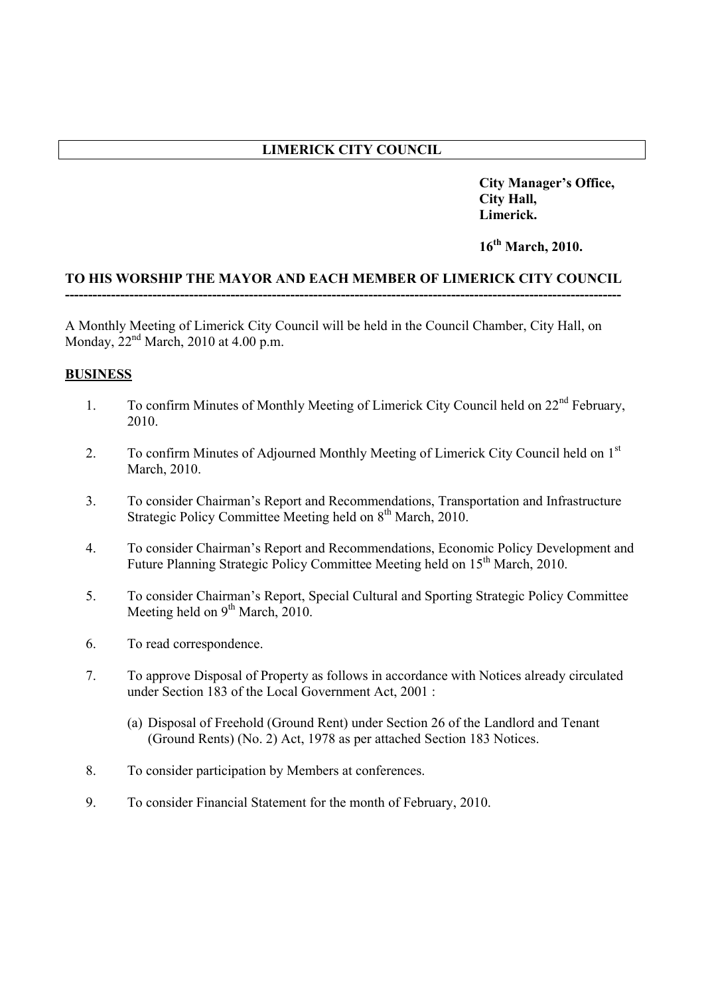# **LIMERICK CITY COUNCIL**

**City Manager's Office, City Hall, Limerick.**

**16th March, 2010.** 

#### **TO HIS WORSHIP THE MAYOR AND EACH MEMBER OF LIMERICK CITY COUNCIL -------------------------------------------------------------------------------------------------------------------------**

A Monthly Meeting of Limerick City Council will be held in the Council Chamber, City Hall, on Monday,  $22<sup>nd</sup> March$ , 2010 at 4.00 p.m.

### **BUSINESS**

- 1. To confirm Minutes of Monthly Meeting of Limerick City Council held on  $22<sup>nd</sup>$  February, 2010.
- 2. To confirm Minutes of Adjourned Monthly Meeting of Limerick City Council held on 1<sup>st</sup> March, 2010.
- 3. To consider Chairman's Report and Recommendations, Transportation and Infrastructure Strategic Policy Committee Meeting held on 8<sup>th</sup> March, 2010.
- 4. To consider Chairman's Report and Recommendations, Economic Policy Development and Future Planning Strategic Policy Committee Meeting held on 15th March, 2010.
- 5. To consider Chairman's Report, Special Cultural and Sporting Strategic Policy Committee Meeting held on  $9<sup>th</sup> March$ , 2010.
- 6. To read correspondence.
- 7. To approve Disposal of Property as follows in accordance with Notices already circulated under Section 183 of the Local Government Act, 2001 :
	- (a) Disposal of Freehold (Ground Rent) under Section 26 of the Landlord and Tenant (Ground Rents) (No. 2) Act, 1978 as per attached Section 183 Notices.
- 8. To consider participation by Members at conferences.
- 9. To consider Financial Statement for the month of February, 2010.